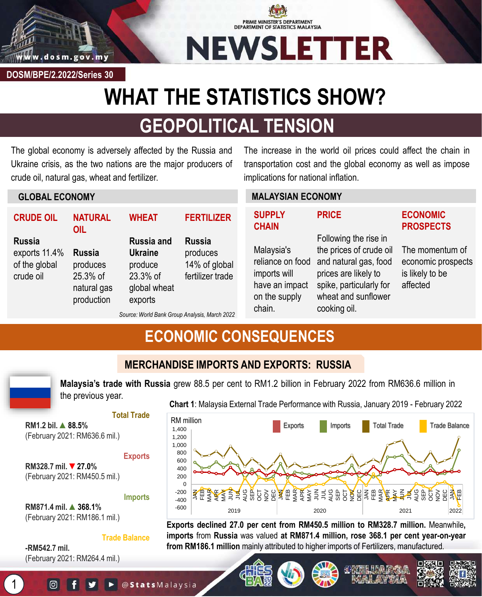

**DOSM/BPE/2.2022/Series 30**

**GLOBAL ECONOMY**

**OIL**

**Russia**  produces 25.3% of natural gas production

**CRUDE OIL**

exports 11.4% of the global crude oil

**Russia** 

# **PRIME MINISTER'S DEPARTMENT<br>DEPARTMENT OF STATISTICS MALAYSIA NEWSLETTER**

# **WHAT THE STATISTICS SHOW?**

# **GEOPOLITICAL TENSION**

The global economy is adversely affected by the Russia and Ukraine crisis, as the two nations are the major producers of crude oil, natural gas, wheat and fertilizer.

The increase in the world oil prices could affect the chain in transportation cost and the global economy as well as impose implications for national inflation.

#### **NATURAL WHEAT Russia and Ukraine FERTILIZER Russia**  produces **MALAYSIAN ECONOMY SUPPLY CHAIN** Malaysia's **PRICE** Following the rise in the prices of crude oil **ECONOMIC PROSPECTS**

reliance on food imports will have an impact on the supply

and natural gas, food prices are likely to spike, particularly for wheat and sunflower cooking oil. affected

# The momentum of economic prospects is likely to be

*Source: World Bank Group Analysis, March 2022*

14% of global fertilizer trade

# **ECONOMIC CONSEQUENCES**



1

**MERCHANDISE IMPORTS AND EXPORTS: RUSSIA**

**Malaysia's trade with Russia** grew 88.5 per cent to RM1.2 billion in February 2022 from RM636.6 million in the previous year.

chain.

#### **Total Trade**

**RM1.2 bil. ▲88.5%** (February 2021: RM636.6 mil.)

#### **Exports**

produce 23.3% of global wheat exports

**RM328.7 mil.** ▼**27.0%** (February 2021: RM450.5 mil.)

**Imports**

**RM871.4 mil. ▲368.1%** (February 2021: RM186.1 mil.)

#### **Trade Balance**

**-RM542.7 mil.** (February 2021: RM264.4 mil.)

ල

### **Chart 1**: Malaysia External Trade Performance with Russia, January 2019 - February 2022



**Exports declined 27.0 per cent from RM450.5 million to RM328.7 million.** Meanwhile**, imports** from **Russia** was valued **at RM871.4 million, rose 368.1 per cent year-on-year from RM186.1 million** mainly attributed to higher imports of Fertilizers, manufactured.

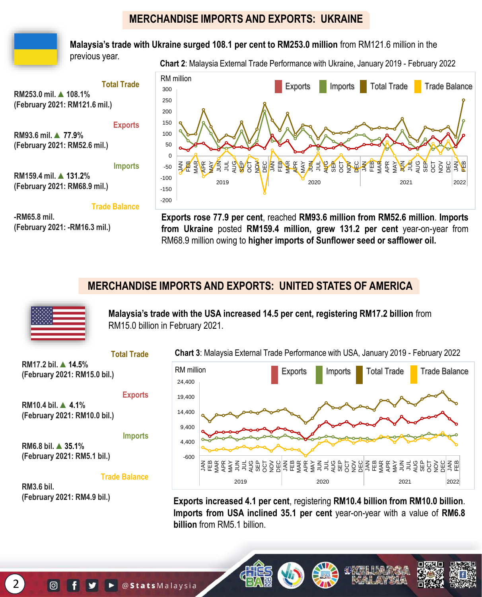# **MERCHANDISE IMPORTS AND EXPORTS: UKRAINE**



**Malaysia's trade with Ukraine surged 108.1 per cent to RM253.0 million** from RM121.6 million in the

previous year.

**Chart 2**: Malaysia External Trade Performance with Ukraine, January 2019 - February 2022

**Total Trade RM253.0 mil. ▲108.1% (February 2021: RM121.6 mil.) Exports**

**RM93.6 mil. ▲77.9% (February 2021: RM52.6 mil.)**

**Imports**

**RM159.4 mil. ▲131.2% (February 2021: RM68.9 mil.)**

**Trade Balance**

**-RM65.8 mil. (February 2021: -RM16.3 mil.)**



**Exports rose 77.9 per cent**, reached **RM93.6 million from RM52.6 million**. **Imports from Ukraine** posted **RM159.4 million, grew 131.2 per cent** year-on-year from RM68.9 million owing to **higher imports of Sunflower seed or safflower oil.**

# **MERCHANDISE IMPORTS AND EXPORTS: UNITED STATES OF AMERICA**



**Malaysia's trade with the USA increased 14.5 per cent, registering RM17.2 billion** from RM15.0 billion in February 2021.

**Total Trade**

**RM17.2 bil. ▲14.5% (February 2021: RM15.0 bil.)**

**RM10.4 bil. ▲4.1% (February 2021: RM10.0 bil.)**

**Imports**

**Exports**

**RM6.8 bil. ▲35.1% (February 2021: RM5.1 bil.)**

#### **Trade Balance**

**RM3.6 bil. (February 2021: RM4.9 bil.)**

 $\lbrack \odot \rbrack$ 

**Chart 3**: Malaysia External Trade Performance with USA, January 2019 - February 2022



**Exports increased 4.1 per cent**, registering **RM10.4 billion from RM10.0 billion**. **Imports from USA inclined 35.1 per cent** year-on-year with a value of **RM6.8 billion** from RM5.1 billion

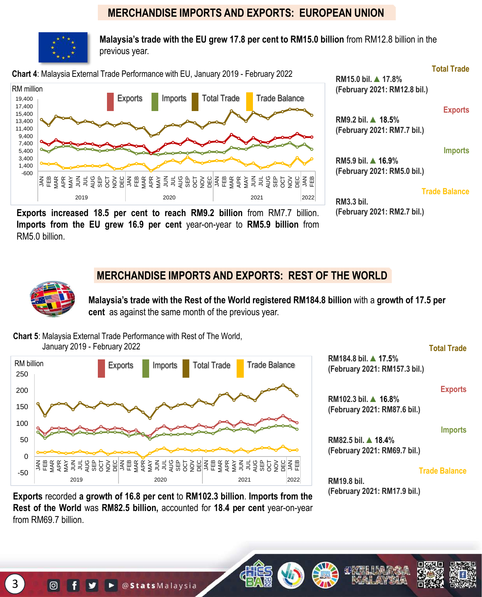## **MERCHANDISE IMPORTS AND EXPORTS: EUROPEAN UNION**



**Malaysia's trade with the EU grew 17.8 per cent to RM15.0 billion** from RM12.8 billion in the previous year.



**Imports from the EU grew 16.9 per cent** year-on-year to **RM5.9 billion** from RM5.0 billion.

### **MERCHANDISE IMPORTS AND EXPORTS: REST OF THE WORLD**

**Malaysia's trade with the Rest of the World registered RM184.8 billion** with a **growth of 17.5 per cent** as against the same month of the previous year.

**Chart 5**: Malaysia External Trade Performance with Rest of The World, January 2019 - February 2022



**Total Trade**

**RM184.8 bil. ▲17.5% (February 2021: RM157.3 bil.)**

#### **Exports**

**RM102.3 bil. ▲16.8% (February 2021: RM87.6 bil.)**

#### **Imports**

**RM82.5 bil. ▲18.4% (February 2021: RM69.7 bil.)**

#### **Trade Balance**

**RM19.8 bil. (February 2021: RM17.9 bil.)**

**Exports** recorded **a growth of 16.8 per cent** to **RM102.3 billion**. **Imports from the Rest of the World** was **RM82.5 billion,** accounted for **18.4 per cent** year-on-year from RM69.7 billion.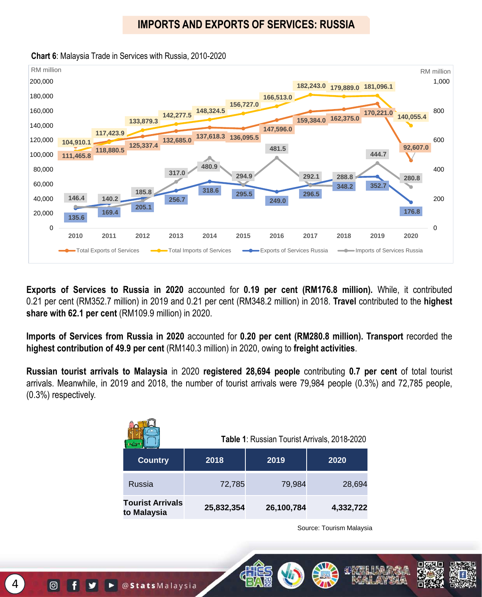# **IMPORTS AND EXPORTS OF SERVICES: RUSSIA**



**Chart 6**: Malaysia Trade in Services with Russia, 2010-2020

**Exports of Services to Russia in 2020** accounted for **0.19 per cent (RM176.8 million).** While, it contributed 0.21 per cent (RM352.7 million) in 2019 and 0.21 per cent (RM348.2 million) in 2018. **Travel** contributed to the **highest share with 62.1 per cent** (RM109.9 million) in 2020.

**Imports of Services from Russia in 2020** accounted for **0.20 per cent (RM280.8 million). Transport** recorded the **highest contribution of 49.9 per cent** (RM140.3 million) in 2020, owing to **freight activities**.

**Russian tourist arrivals to Malaysia** in 2020 **registered 28,694 people** contributing **0.7 per cent** of total tourist arrivals. Meanwhile, in 2019 and 2018, the number of tourist arrivals were 79,984 people (0.3%) and 72,785 people, (0.3%) respectively.

|                                        | Table 1: Russian Tourist Arrivals, 2018-2020 |            |           |  |
|----------------------------------------|----------------------------------------------|------------|-----------|--|
| <b>Country</b>                         | 2018                                         | 2019       | 2020      |  |
| Russia                                 | 72,785                                       | 79,984     | 28,694    |  |
| <b>Tourist Arrivals</b><br>to Malaysia | 25,832,354                                   | 26,100,784 | 4,332,722 |  |

Source: Tourism Malaysia

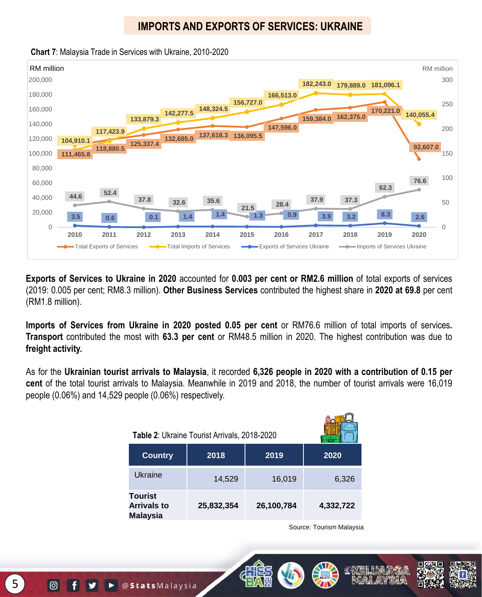# **IMPORTS AND EXPORTS OF SERVICES: UKRAINE**



**Chart 7**: Malaysia Trade in Services with Ukraine, 2010-2020

**Exports of Services to Ukraine in 2020** accounted for **0.003 per cent or RM2.6 million** of total exports of services (2019: 0.005 per cent; RM8.3 million). **Other Business Services** contributed the highest share in **2020 at 69.8** per cent (RM1.8 million).

**Imports of Services from Ukraine in 2020 posted 0.05 per cent** or RM76.6 million of total imports of services**. Transport** contributed the most with **63.3 per cent** or RM48.5 million in 2020. The highest contribution was due to **freight activity.**

As for the **Ukrainian tourist arrivals to Malaysia**, it recorded **6,326 people in 2020 with a contribution of 0.15 per cent** of the total tourist arrivals to Malaysia. Meanwhile in 2019 and 2018, the number of tourist arrivals were 16,019 people (0.06%) and 14,529 people (0.06%) respectively.

| Table 2: Ukraine Tourist Arrivals, 2018-2020     |            |            |           |  |
|--------------------------------------------------|------------|------------|-----------|--|
| <b>Country</b>                                   | 2018       | 2019       | 2020      |  |
| Ukraine                                          | 14,529     | 16,019     | 6,326     |  |
| Tourist<br><b>Arrivals to</b><br><b>Malaysia</b> | 25,832,354 | 26,100,784 | 4,332,722 |  |

Source: Tourism Malaysia

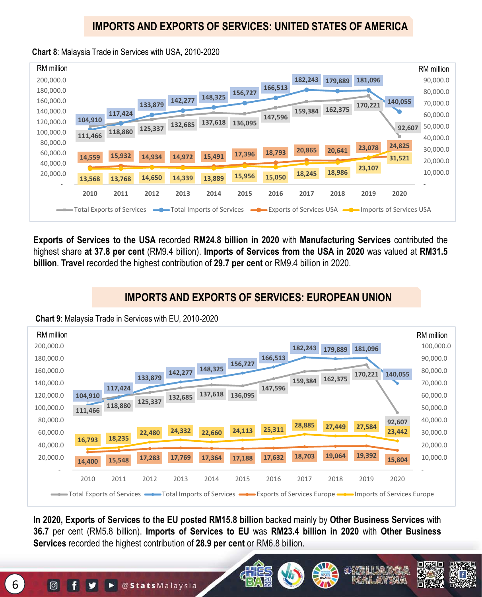# **IMPORTS AND EXPORTS OF SERVICES: UNITED STATES OF AMERICA**

#### **Chart 8**: Malaysia Trade in Services with USA, 2010-2020



**Exports of Services to the USA** recorded **RM24.8 billion in 2020** with **Manufacturing Services** contributed the highest share **at 37.8 per cent** (RM9.4 billion). **Imports of Services from the USA in 2020** was valued at **RM31.5 billion**. **Travel** recorded the highest contribution of **29.7 per cent** or RM9.4 billion in 2020.

# **IMPORTS AND EXPORTS OF SERVICES: EUROPEAN UNION**

**Chart 9**: Malaysia Trade in Services with EU, 2010-2020



**In 2020, Exports of Services to the EU posted RM15.8 billion** backed mainly by **Other Business Services** with **36.7** per cent (RM5.8 billion). **Imports of Services to EU** was **RM23.4 billion in 2020** with **Other Business Services** recorded the highest contribution of **28.9 per cent** or RM6.8 billion.

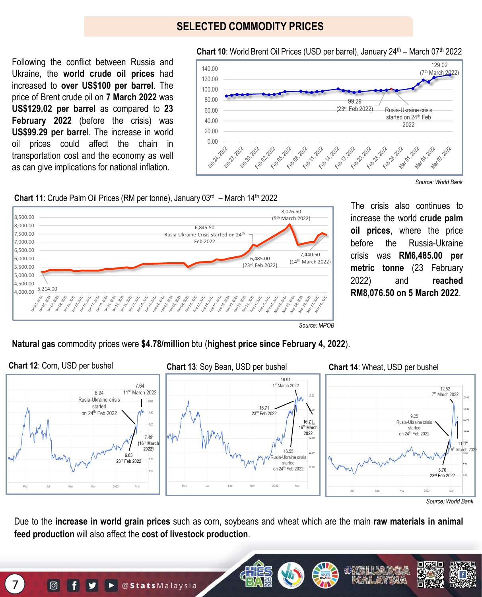## **SELECTED COMMODITY PRICES**

Following the conflict between Russia and Ukraine, the **world crude oil prices** had increased to **over US\$100 per barrel**. The price of Brent crude oil on **7 March 2022** was **US\$129.02 per barrel** as compared to **23 February 2022** (before the crisis) was **US\$99.29 per barre**l. The increase in world oil prices could affect the chain in transportation cost and the economy as well as can give implications for national inflation.



*Source: World Bank*





The crisis also continues to increase the world **crude palm oil prices**, where the price before the Russia-Ukraine crisis was **RM6,485.00 per metric tonne** (23 February 2022) and **reached RM8,076.50 on 5 March 2022**.

*Source: MPOB*

**Natural gas** commodity prices were **\$4.78/million** btu (**highest price since February 4, 2022**).



*Source: World Bank*

Due to the **increase in world grain prices** such as corn, soybeans and wheat which are the main **raw materials in animal feed production** will also affect the **cost of livestock production**.



 $\odot$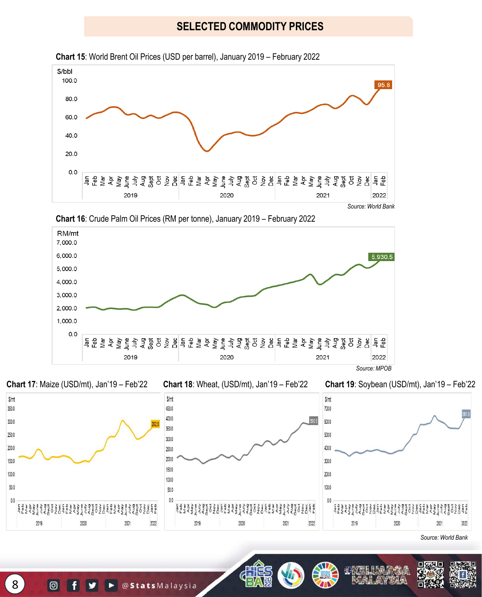# **SELECTED COMMODITY PRICES**



**Chart 15**: World Brent Oil Prices (USD per barrel), January 2019 – February 2022







*Source: World Bank*

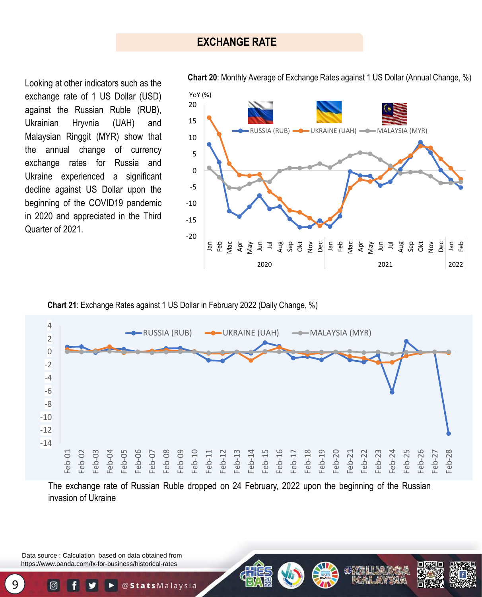Looking at other indicators such as the exchange rate of 1 US Dollar (USD) against the Russian Ruble (RUB), Ukrainian Hryvnia (UAH) and Malaysian Ringgit (MYR) show that the annual change of currency exchange rates for Russia and Ukraine experienced a significant decline against US Dollar upon the beginning of the COVID19 pandemic in 2020 and appreciated in the Third Quarter of 2021.



**Chart 20**: Monthly Average of Exchange Rates against 1 US Dollar (Annual Change, %)

**Chart 21**: Exchange Rates against 1 US Dollar in February 2022 (Daily Change, %)



The exchange rate of Russian Ruble dropped on 24 February, 2022 upon the beginning of the Russian invasion of Ukraine

Data source : Calculation based on data obtained from https://www.oanda.com/fx-for-business/historical-rates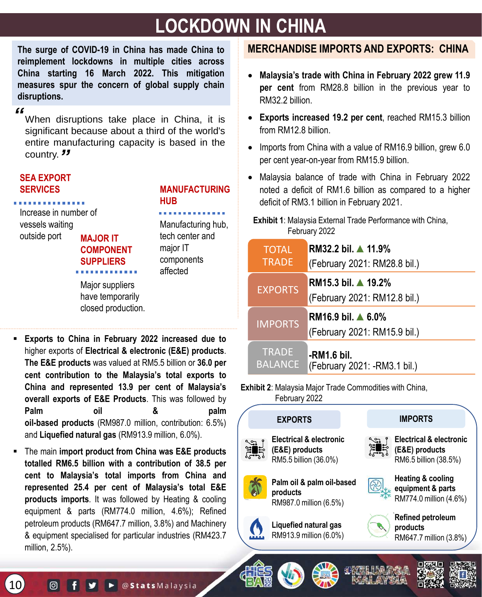# **LOCKDOWN IN CHINA**

**The surge of COVID-19 in China has made China to reimplement lockdowns in multiple cities across China starting 16 March 2022. This mitigation measures spur the concern of global supply chain disruptions.**

#### *"*

When disruptions take place in China, it is significant because about a third of the world's entire manufacturing capacity is based in the country. *"*

#### **SEA EXPORT SERVICES**

**MAJOR IT COMPONENT SUPPLIERS** Increase in number of vessels waiting outside port

### **MANUFACTURING HUB**

Manufacturing hub, tech center and major IT components affected

Major suppliers have temporarily closed production.

- **Exports to China in February 2022 increased due to** higher exports of **Electrical & electronic (E&E) products**. **The E&E products** was valued at RM5.5 billion or **36.0 per cent contribution to the Malaysia's total exports to China and represented 13.9 per cent of Malaysia's overall exports of E&E Products**. This was followed by **Palm oil & palm oil-based products** (RM987.0 million, contribution: 6.5%) and **Liquefied natural gas** (RM913.9 million, 6.0%).
- The main **import product from China was E&E products totalled RM6.5 billion with a contribution of 38.5 per cent to Malaysia's total imports from China and represented 25.4 per cent of Malaysia's total E&E products imports**. It was followed by Heating & cooling equipment & parts (RM774.0 million, 4.6%); Refined petroleum products (RM647.7 million, 3.8%) and Machinery & equipment specialised for particular industries (RM423.7 million, 2.5%).

# **MERCHANDISE IMPORTS AND EXPORTS: CHINA**

- **Malaysia's trade with China in February 2022 grew 11.9 per cent** from RM28.8 billion in the previous year to RM32.2 billion.
- **Exports increased 19.2 per cent**, reached RM15.3 billion from RM12.8 billion.
- Imports from China with a value of RM16.9 billion, grew 6.0 per cent year-on-year from RM15.9 billion.
- Malaysia balance of trade with China in February 2022 noted a deficit of RM1.6 billion as compared to a higher deficit of RM3.1 billion in February 2021.

#### **Exhibit 1**: Malaysia External Trade Performance with China, February 2022

| <b>TOTAL</b>   | RM32.2 bil. ▲ 11.9%                                           |
|----------------|---------------------------------------------------------------|
| <b>TRADE</b>   | (February 2021: RM28.8 bil.)                                  |
| <b>EXPORTS</b> | RM15.3 bil. ▲ 19.2%<br>(February 2021: RM12.8 bil.)           |
| <b>IMPORTS</b> | RM16.9 bil. $\triangle 6.0\%$<br>(February 2021: RM15.9 bil.) |
| <b>TRADE</b>   | -RM1.6 bil.                                                   |
| <b>BALANCE</b> | (February 2021: -RM3.1 bil.)                                  |

#### **Exhibit 2**: Malaysia Major Trade Commodities with China, February 2022

# **EXPORTS IMPORTS**



**Electrical & electronic (E&E) products** RM5.5 billion (36.0%)







**Electrical & electronic (E&E) products** RM6.5 billion (38.5%)









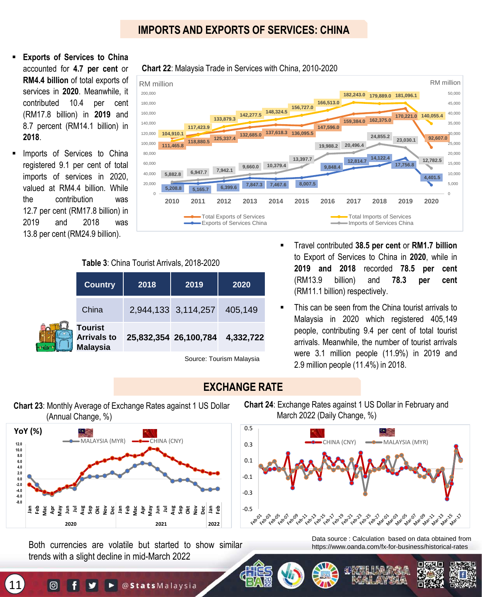# **IMPORTS AND EXPORTS OF SERVICES: CHINA**

- **Exports of Services to China** accounted for **4.7 per cent** or **RM4.4 billion** of total exports of services in **2020**. Meanwhile, it contributed 10.4 per cent (RM17.8 billion) in **2019** and 8.7 percent (RM14.1 billion) in **2018**.
- Imports of Services to China registered 9.1 per cent of total imports of services in 2020, valued at RM4.4 billion. While the contribution was 12.7 per cent (RM17.8 billion) in 2019 and 2018 was 13.8 per cent (RM24.9 billion).



#### **Chart 22**: Malaysia Trade in Services with China, 2010-2020

**Table 3**: China Tourist Arrivals, 2018-2020

| <b>Country</b>                                          | 2018<br>2019 |                       | 2020                     |  |
|---------------------------------------------------------|--------------|-----------------------|--------------------------|--|
| China                                                   |              | 2,944,133 3,114,257   | 405,149                  |  |
| <b>Tourist</b><br><b>Arrivals to</b><br><b>Malaysia</b> |              | 25,832,354 26,100,784 | 4,332,722                |  |
|                                                         |              |                       | Source: Tourism Malaysia |  |

- Travel contributed **38.5 per cent** or **RM1.7 billion** to Export of Services to China in **2020**, while in **2019 and 2018** recorded **78.5 per cent** (RM13.9 billion) and **78.3 per cent** (RM11.1 billion) respectively.
- This can be seen from the China tourist arrivals to Malaysia in 2020 which registered 405,149 people, contributing 9.4 per cent of total tourist arrivals. Meanwhile, the number of tourist arrivals were 3.1 million people (11.9%) in 2019 and 2.9 million people (11.4%) in 2018.

### **EXCHANGE RATE**

**Chart 23**: Monthly Average of Exchange Rates against 1 US Dollar (Annual Change, %)



Both currencies are volatile but started to show similar trends with a slight decline in mid-March 2022

**Chart 24**: Exchange Rates against 1 US Dollar in February and March 2022 (Daily Change, %)



Data source : Calculation based on data obtained from https://www.oanda.com/fx-for-business/historical-rates